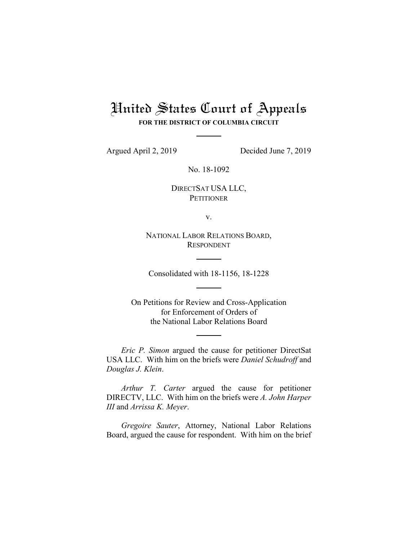## United States Court of Appeals

**FOR THE DISTRICT OF COLUMBIA CIRCUIT**

Argued April 2, 2019 Decided June 7, 2019

No. 18-1092

DIRECTSAT USA LLC, **PETITIONER** 

v.

NATIONAL LABOR RELATIONS BOARD, RESPONDENT

Consolidated with 18-1156, 18-1228

On Petitions for Review and Cross-Application for Enforcement of Orders of the National Labor Relations Board

*Eric P. Simon* argued the cause for petitioner DirectSat USA LLC. With him on the briefs were *Daniel Schudroff* and *Douglas J. Klein*.

*Arthur T. Carter* argued the cause for petitioner DIRECTV, LLC. With him on the briefs were *A. John Harper III* and *Arrissa K. Meyer*.

*Gregoire Sauter*, Attorney, National Labor Relations Board, argued the cause for respondent. With him on the brief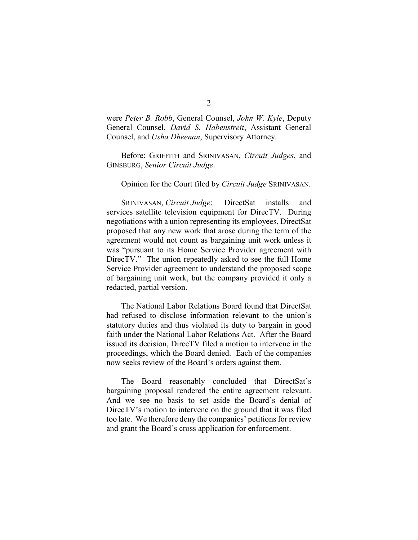were *Peter B. Robb*, General Counsel, *John W. Kyle*, Deputy General Counsel, *David S. Habenstreit*, Assistant General Counsel, and *Usha Dheenan*, Supervisory Attorney.

Before: GRIFFITH and SRINIVASAN, *Circuit Judges*, and GINSBURG, *Senior Circuit Judge*.

## Opinion for the Court filed by *Circuit Judge* SRINIVASAN.

SRINIVASAN, *Circuit Judge*: DirectSat installs and services satellite television equipment for DirecTV. During negotiations with a union representing its employees, DirectSat proposed that any new work that arose during the term of the agreement would not count as bargaining unit work unless it was "pursuant to its Home Service Provider agreement with DirecTV." The union repeatedly asked to see the full Home Service Provider agreement to understand the proposed scope of bargaining unit work, but the company provided it only a redacted, partial version.

The National Labor Relations Board found that DirectSat had refused to disclose information relevant to the union's statutory duties and thus violated its duty to bargain in good faith under the National Labor Relations Act. After the Board issued its decision, DirecTV filed a motion to intervene in the proceedings, which the Board denied. Each of the companies now seeks review of the Board's orders against them.

The Board reasonably concluded that DirectSat's bargaining proposal rendered the entire agreement relevant. And we see no basis to set aside the Board's denial of DirecTV's motion to intervene on the ground that it was filed too late. We therefore deny the companies' petitions for review and grant the Board's cross application for enforcement.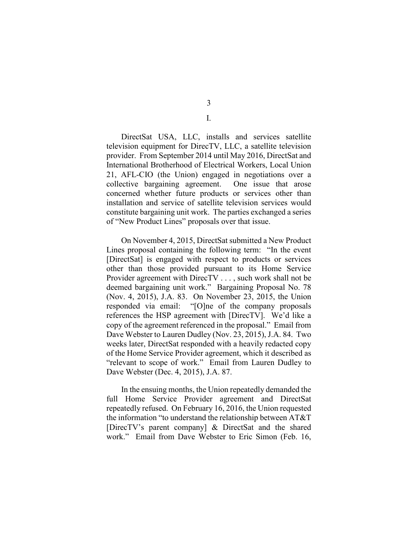3

I.

DirectSat USA, LLC, installs and services satellite television equipment for DirecTV, LLC, a satellite television provider. From September 2014 until May 2016, DirectSat and International Brotherhood of Electrical Workers, Local Union 21, AFL-CIO (the Union) engaged in negotiations over a collective bargaining agreement. One issue that arose concerned whether future products or services other than installation and service of satellite television services would constitute bargaining unit work. The parties exchanged a series of "New Product Lines" proposals over that issue.

On November 4, 2015, DirectSat submitted a New Product Lines proposal containing the following term: "In the event [DirectSat] is engaged with respect to products or services other than those provided pursuant to its Home Service Provider agreement with DirecTV . . . , such work shall not be deemed bargaining unit work." Bargaining Proposal No. 78 (Nov. 4, 2015), J.A. 83. On November 23, 2015, the Union responded via email: "[O]ne of the company proposals references the HSP agreement with [DirecTV]. We'd like a copy of the agreement referenced in the proposal." Email from Dave Webster to Lauren Dudley (Nov. 23, 2015), J.A. 84. Two weeks later, DirectSat responded with a heavily redacted copy of the Home Service Provider agreement, which it described as "relevant to scope of work." Email from Lauren Dudley to Dave Webster (Dec. 4, 2015), J.A. 87.

In the ensuing months, the Union repeatedly demanded the full Home Service Provider agreement and DirectSat repeatedly refused. On February 16, 2016, the Union requested the information "to understand the relationship between AT&T [DirecTV's parent company] & DirectSat and the shared work." Email from Dave Webster to Eric Simon (Feb. 16,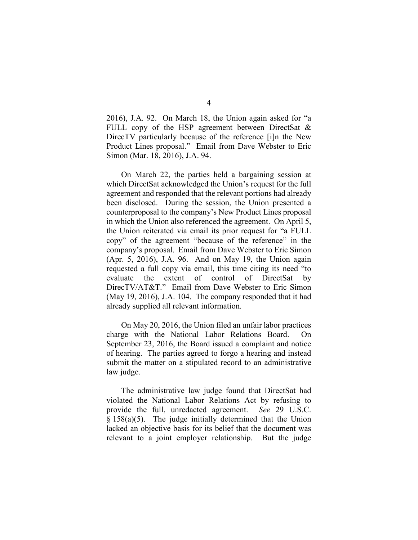2016), J.A. 92. On March 18, the Union again asked for "a FULL copy of the HSP agreement between DirectSat  $\&$ DirecTV particularly because of the reference [i]n the New Product Lines proposal." Email from Dave Webster to Eric Simon (Mar. 18, 2016), J.A. 94.

On March 22, the parties held a bargaining session at which DirectSat acknowledged the Union's request for the full agreement and responded that the relevant portions had already been disclosed.During the session, the Union presented a counterproposal to the company's New Product Lines proposal in which the Union also referenced the agreement.On April 5, the Union reiterated via email its prior request for "a FULL copy" of the agreement "because of the reference" in the company's proposal. Email from Dave Webster to Eric Simon (Apr. 5, 2016), J.A. 96. And on May 19, the Union again requested a full copy via email, this time citing its need "to evaluate the extent of control of DirectSat by DirecTV/AT&T." Email from Dave Webster to Eric Simon (May 19, 2016), J.A. 104. The company responded that it had already supplied all relevant information.

On May 20, 2016, the Union filed an unfair labor practices charge with the National Labor Relations Board. On September 23, 2016, the Board issued a complaint and notice of hearing. The parties agreed to forgo a hearing and instead submit the matter on a stipulated record to an administrative law judge.

The administrative law judge found that DirectSat had violated the National Labor Relations Act by refusing to provide the full, unredacted agreement. *See* 29 U.S.C. § 158(a)(5). The judge initially determined that the Union lacked an objective basis for its belief that the document was relevant to a joint employer relationship. But the judge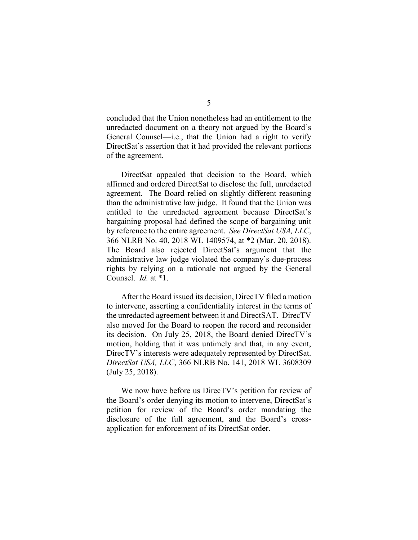concluded that the Union nonetheless had an entitlement to the unredacted document on a theory not argued by the Board's General Counsel—i.e., that the Union had a right to verify DirectSat's assertion that it had provided the relevant portions of the agreement.

DirectSat appealed that decision to the Board, which affirmed and ordered DirectSat to disclose the full, unredacted agreement. The Board relied on slightly different reasoning than the administrative law judge. It found that the Union was entitled to the unredacted agreement because DirectSat's bargaining proposal had defined the scope of bargaining unit by reference to the entire agreement. *See DirectSat USA, LLC*, 366 NLRB No. 40, 2018 WL 1409574, at \*2 (Mar. 20, 2018). The Board also rejected DirectSat's argument that the administrative law judge violated the company's due-process rights by relying on a rationale not argued by the General Counsel. *Id.* at \*1.

After the Board issued its decision, DirecTV filed a motion to intervene, asserting a confidentiality interest in the terms of the unredacted agreement between it and DirectSAT. DirecTV also moved for the Board to reopen the record and reconsider its decision. On July 25, 2018, the Board denied DirecTV's motion, holding that it was untimely and that, in any event, DirecTV's interests were adequately represented by DirectSat. *DirectSat USA, LLC*, 366 NLRB No. 141, 2018 WL 3608309 (July 25, 2018).

We now have before us DirecTV's petition for review of the Board's order denying its motion to intervene, DirectSat's petition for review of the Board's order mandating the disclosure of the full agreement, and the Board's crossapplication for enforcement of its DirectSat order.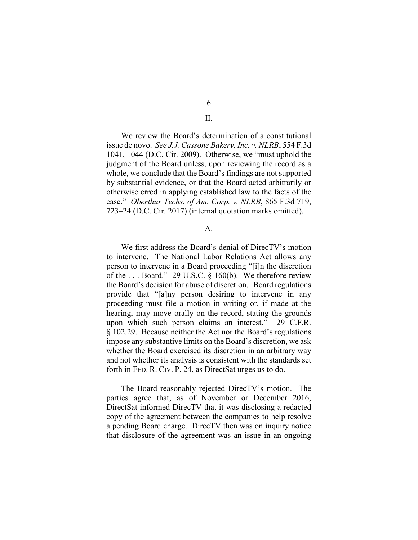6

## II.

We review the Board's determination of a constitutional issue de novo. *See J.J. Cassone Bakery, Inc. v. NLRB*, 554 F.3d 1041, 1044 (D.C. Cir. 2009). Otherwise, we "must uphold the judgment of the Board unless, upon reviewing the record as a whole, we conclude that the Board's findings are not supported by substantial evidence, or that the Board acted arbitrarily or otherwise erred in applying established law to the facts of the case." *Oberthur Techs. of Am. Corp. v. NLRB*, 865 F.3d 719, 723–24 (D.C. Cir. 2017) (internal quotation marks omitted).

## A.

We first address the Board's denial of DirecTV's motion to intervene. The National Labor Relations Act allows any person to intervene in a Board proceeding "[i]n the discretion of the . . . Board." 29 U.S.C. § 160(b). We therefore review the Board's decision for abuse of discretion. Board regulations provide that "[a]ny person desiring to intervene in any proceeding must file a motion in writing or, if made at the hearing, may move orally on the record, stating the grounds upon which such person claims an interest." 29 C.F.R. § 102.29. Because neither the Act nor the Board's regulations impose any substantive limits on the Board's discretion, we ask whether the Board exercised its discretion in an arbitrary way and not whether its analysis is consistent with the standards set forth in FED. R. CIV. P. 24, as DirectSat urges us to do.

The Board reasonably rejected DirecTV's motion. The parties agree that, as of November or December 2016, DirectSat informed DirecTV that it was disclosing a redacted copy of the agreement between the companies to help resolve a pending Board charge. DirecTV then was on inquiry notice that disclosure of the agreement was an issue in an ongoing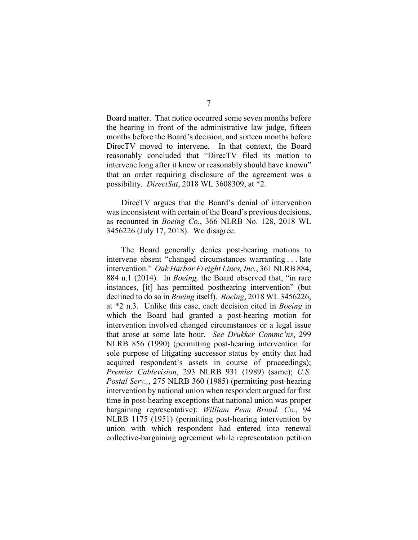Board matter. That notice occurred some seven months before the hearing in front of the administrative law judge, fifteen months before the Board's decision, and sixteen months before DirecTV moved to intervene. In that context, the Board reasonably concluded that "DirecTV filed its motion to intervene long after it knew or reasonably should have known" that an order requiring disclosure of the agreement was a possibility. *DirectSat*, 2018 WL 3608309, at \*2.

DirecTV argues that the Board's denial of intervention was inconsistent with certain of the Board's previous decisions, as recounted in *Boeing Co.*, 366 NLRB No. 128, 2018 WL 3456226 (July 17, 2018). We disagree.

The Board generally denies post-hearing motions to intervene absent "changed circumstances warranting . . . late intervention." *Oak Harbor Freight Lines, Inc.*, 361 NLRB 884, 884 n.1 (2014). In *Boeing,* the Board observed that, "in rare instances, [it] has permitted posthearing intervention" (but declined to do so in *Boeing* itself). *Boeing*, 2018 WL 3456226, at \*2 n.3. Unlike this case, each decision cited in *Boeing* in which the Board had granted a post-hearing motion for intervention involved changed circumstances or a legal issue that arose at some late hour. *See Drukker Commc'ns*, 299 NLRB 856 (1990) (permitting post-hearing intervention for sole purpose of litigating successor status by entity that had acquired respondent's assets in course of proceedings); *Premier Cablevision*, 293 NLRB 931 (1989) (same); *U.S. Postal Serv.,*, 275 NLRB 360 (1985) (permitting post-hearing intervention by national union when respondent argued for first time in post-hearing exceptions that national union was proper bargaining representative); *William Penn Broad. Co.*, 94 NLRB 1175 (1951) (permitting post-hearing intervention by union with which respondent had entered into renewal collective-bargaining agreement while representation petition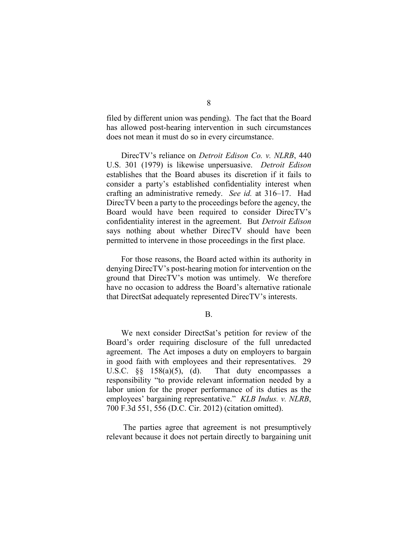filed by different union was pending). The fact that the Board has allowed post-hearing intervention in such circumstances does not mean it must do so in every circumstance.

DirecTV's reliance on *Detroit Edison Co. v. NLRB*, 440 U.S. 301 (1979) is likewise unpersuasive. *Detroit Edison* establishes that the Board abuses its discretion if it fails to consider a party's established confidentiality interest when crafting an administrative remedy. *See id.* at 316–17. Had DirecTV been a party to the proceedings before the agency, the Board would have been required to consider DirecTV's confidentiality interest in the agreement. But *Detroit Edison*  says nothing about whether DirecTV should have been permitted to intervene in those proceedings in the first place.

For those reasons, the Board acted within its authority in denying DirecTV's post-hearing motion for intervention on the ground that DirecTV's motion was untimely. We therefore have no occasion to address the Board's alternative rationale that DirectSat adequately represented DirecTV's interests.

B.

We next consider DirectSat's petition for review of the Board's order requiring disclosure of the full unredacted agreement. The Act imposes a duty on employers to bargain in good faith with employees and their representatives. 29 U.S.C.  $\S\S$  158(a)(5), (d). That duty encompasses a responsibility "to provide relevant information needed by a labor union for the proper performance of its duties as the employees' bargaining representative." *KLB Indus. v. NLRB*, 700 F.3d 551, 556 (D.C. Cir. 2012) (citation omitted).

The parties agree that agreement is not presumptively relevant because it does not pertain directly to bargaining unit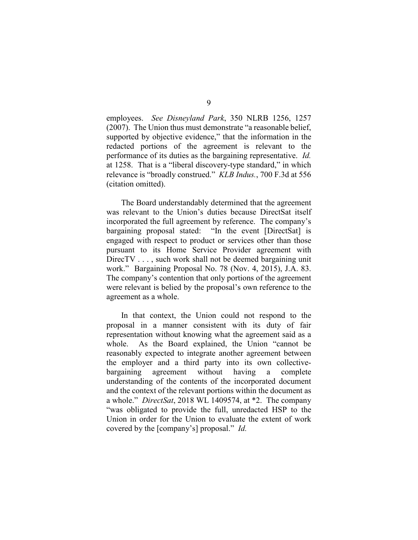employees. *See Disneyland Park*, 350 NLRB 1256, 1257 (2007). The Union thus must demonstrate "a reasonable belief, supported by objective evidence," that the information in the redacted portions of the agreement is relevant to the performance of its duties as the bargaining representative. *Id.* at 1258. That is a "liberal discovery-type standard," in which relevance is "broadly construed." *KLB Indus.*, 700 F.3d at 556 (citation omitted).

The Board understandably determined that the agreement was relevant to the Union's duties because DirectSat itself incorporated the full agreement by reference. The company's bargaining proposal stated: "In the event [DirectSat] is engaged with respect to product or services other than those pursuant to its Home Service Provider agreement with DirecTV . . . , such work shall not be deemed bargaining unit work." Bargaining Proposal No. 78 (Nov. 4, 2015), J.A. 83. The company's contention that only portions of the agreement were relevant is belied by the proposal's own reference to the agreement as a whole.

In that context, the Union could not respond to the proposal in a manner consistent with its duty of fair representation without knowing what the agreement said as a whole. As the Board explained, the Union "cannot be reasonably expected to integrate another agreement between the employer and a third party into its own collectivebargaining agreement without having a complete understanding of the contents of the incorporated document and the context of the relevant portions within the document as a whole." *DirectSat*, 2018 WL 1409574, at \*2. The company "was obligated to provide the full, unredacted HSP to the Union in order for the Union to evaluate the extent of work covered by the [company's] proposal." *Id.*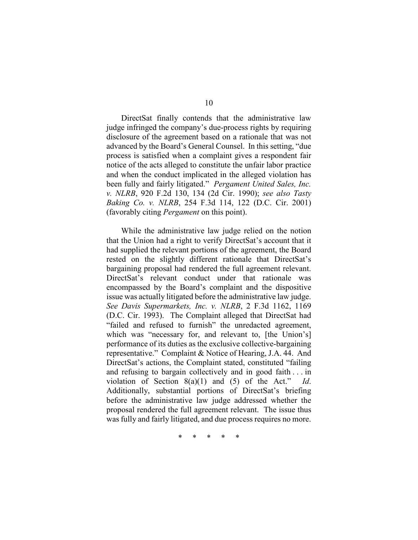DirectSat finally contends that the administrative law judge infringed the company's due-process rights by requiring disclosure of the agreement based on a rationale that was not advanced by the Board's General Counsel. In this setting, "due process is satisfied when a complaint gives a respondent fair notice of the acts alleged to constitute the unfair labor practice and when the conduct implicated in the alleged violation has been fully and fairly litigated." *Pergament United Sales, Inc. v. NLRB*, 920 F.2d 130, 134 (2d Cir. 1990); *see also Tasty Baking Co. v. NLRB*, 254 F.3d 114, 122 (D.C. Cir. 2001) (favorably citing *Pergament* on this point).

While the administrative law judge relied on the notion that the Union had a right to verify DirectSat's account that it had supplied the relevant portions of the agreement, the Board rested on the slightly different rationale that DirectSat's bargaining proposal had rendered the full agreement relevant. DirectSat's relevant conduct under that rationale was encompassed by the Board's complaint and the dispositive issue was actually litigated before the administrative law judge. *See Davis Supermarkets, Inc. v. NLRB*, 2 F.3d 1162, 1169 (D.C. Cir. 1993). The Complaint alleged that DirectSat had "failed and refused to furnish" the unredacted agreement, which was "necessary for, and relevant to, [the Union's] performance of its duties as the exclusive collective-bargaining representative." Complaint & Notice of Hearing, J.A. 44. And DirectSat's actions, the Complaint stated, constituted "failing and refusing to bargain collectively and in good faith . . . in violation of Section 8(a)(1) and (5) of the Act." *Id*. Additionally, substantial portions of DirectSat's briefing before the administrative law judge addressed whether the proposal rendered the full agreement relevant.The issue thus was fully and fairly litigated, and due process requires no more.

\* \* \* \* \*